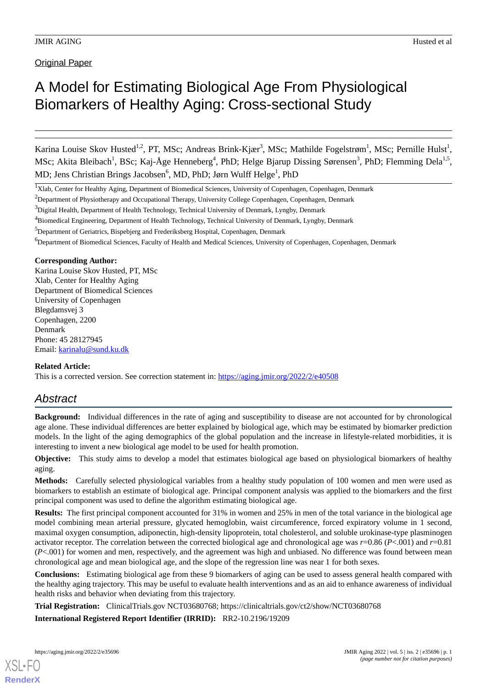**Original Paper** 

# A Model for Estimating Biological Age From Physiological Biomarkers of Healthy Aging: Cross-sectional Study

Karina Louise Skov Husted<sup>1,2</sup>, PT, MSc; Andreas Brink-Kjær<sup>3</sup>, MSc; Mathilde Fogelstrøm<sup>1</sup>, MSc; Pernille Hulst<sup>1</sup>, MSc; Akita Bleibach<sup>1</sup>, BSc; Kaj-Åge Henneberg<sup>4</sup>, PhD; Helge Bjarup Dissing Sørensen<sup>3</sup>, PhD; Flemming Dela<sup>1,5</sup>, MD; Jens Christian Brings Jacobsen<sup>6</sup>, MD, PhD; Jørn Wulff Helge<sup>1</sup>, PhD

<sup>1</sup>Xlab, Center for Healthy Aging, Department of Biomedical Sciences, University of Copenhagen, Copenhagen, Denmark

<sup>2</sup>Department of Physiotherapy and Occupational Therapy, University College Copenhagen, Copenhagen, Denmark

<sup>3</sup>Digital Health, Department of Health Technology, Technical University of Denmark, Lyngby, Denmark

<sup>5</sup>Department of Geriatrics, Bispebjerg and Frederiksberg Hospital, Copenhagen, Denmark

<sup>6</sup>Department of Biomedical Sciences, Faculty of Health and Medical Sciences, University of Copenhagen, Copenhagen, Denmark

#### **Corresponding Author:**

Karina Louise Skov Husted, PT, MSc Xlab, Center for Healthy Aging Department of Biomedical Sciences University of Copenhagen Blegdamsvej 3 Copenhagen, 2200 Denmark Phone: 45 28127945 Email: [karinalu@sund.ku.dk](mailto:karinalu@sund.ku.dk)

# **Related Article:**

This is a corrected version. See correction statement in: <https://aging.jmir.org/2022/2/e40508>

# *Abstract*

**Background:** Individual differences in the rate of aging and susceptibility to disease are not accounted for by chronological age alone. These individual differences are better explained by biological age, which may be estimated by biomarker prediction models. In the light of the aging demographics of the global population and the increase in lifestyle-related morbidities, it is interesting to invent a new biological age model to be used for health promotion.

**Objective:** This study aims to develop a model that estimates biological age based on physiological biomarkers of healthy aging.

**Methods:** Carefully selected physiological variables from a healthy study population of 100 women and men were used as biomarkers to establish an estimate of biological age. Principal component analysis was applied to the biomarkers and the first principal component was used to define the algorithm estimating biological age.

**Results:** The first principal component accounted for 31% in women and 25% in men of the total variance in the biological age model combining mean arterial pressure, glycated hemoglobin, waist circumference, forced expiratory volume in 1 second, maximal oxygen consumption, adiponectin, high-density lipoprotein, total cholesterol, and soluble urokinase-type plasminogen activator receptor. The correlation between the corrected biological age and chronological age was *r*=0.86 (*P*<.001) and *r*=0.81 (*P*<.001) for women and men, respectively, and the agreement was high and unbiased. No difference was found between mean chronological age and mean biological age, and the slope of the regression line was near 1 for both sexes.

**Conclusions:** Estimating biological age from these 9 biomarkers of aging can be used to assess general health compared with the healthy aging trajectory. This may be useful to evaluate health interventions and as an aid to enhance awareness of individual health risks and behavior when deviating from this trajectory.

**Trial Registration:** ClinicalTrials.gov NCT03680768; https://clinicaltrials.gov/ct2/show/NCT03680768

**International Registered Report Identifier (IRRID):** RR2-10.2196/19209

<sup>4</sup>Biomedical Engineering, Department of Health Technology, Technical University of Denmark, Lyngby, Denmark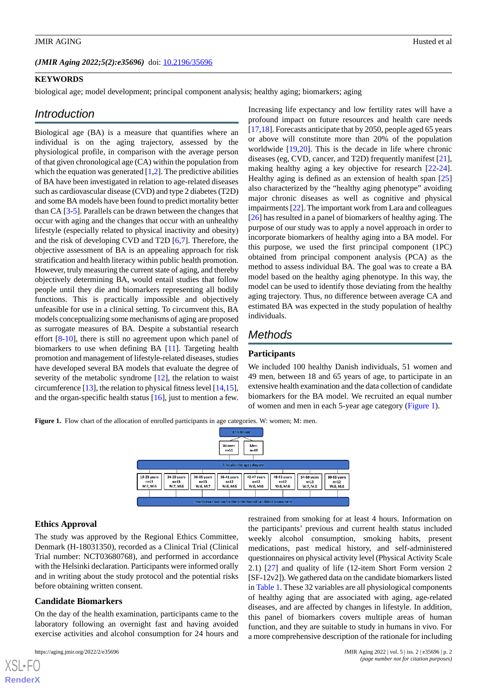(JMIR Aging 2022;5(2):e35696) doi: [10.2196/35696](http://dx.doi.org/10.2196/35696)

#### **KEYWORDS**

biological age; model development; principal component analysis; healthy aging; biomarkers; aging

# *Introduction*

Biological age (BA) is a measure that quantifies where an individual is on the aging trajectory, assessed by the physiological profile, in comparison with the average person of that given chronological age (CA) within the population from which the equation was generated  $[1,2]$  $[1,2]$  $[1,2]$  $[1,2]$ . The predictive abilities of BA have been investigated in relation to age-related diseases such as cardiovascular disease (CVD) and type 2 diabetes (T2D) and some BA models have been found to predict mortality better than CA [\[3](#page-11-2)[-5](#page-11-3)]. Parallels can be drawn between the changes that occur with aging and the changes that occur with an unhealthy lifestyle (especially related to physical inactivity and obesity) and the risk of developing CVD and T2D [\[6](#page-11-4),[7\]](#page-12-0). Therefore, the objective assessment of BA is an appealing approach for risk stratification and health literacy within public health promotion. However, truly measuring the current state of aging, and thereby objectively determining BA, would entail studies that follow people until they die and biomarkers representing all bodily functions. This is practically impossible and objectively unfeasible for use in a clinical setting. To circumvent this, BA models conceptualizing some mechanisms of aging are proposed as surrogate measures of BA. Despite a substantial research effort [\[8](#page-12-1)[-10](#page-12-2)], there is still no agreement upon which panel of biomarkers to use when defining BA [\[11](#page-12-3)]. Targeting health promotion and management of lifestyle-related diseases, studies have developed several BA models that evaluate the degree of severity of the metabolic syndrome [[12\]](#page-12-4), the relation to waist circumference [\[13](#page-12-5)], the relation to physical fitness level [[14,](#page-12-6)[15\]](#page-12-7), and the organ-specific health status [\[16](#page-12-8)], just to mention a few.

Increasing life expectancy and low fertility rates will have a profound impact on future resources and health care needs [[17,](#page-12-9)[18\]](#page-12-10). Forecasts anticipate that by 2050, people aged 65 years or above will constitute more than 20% of the population worldwide [[19,](#page-12-11)[20](#page-12-12)]. This is the decade in life where chronic diseases (eg, CVD, cancer, and T2D) frequently manifest [[21\]](#page-12-13), making healthy aging a key objective for research [[22-](#page-12-14)[24\]](#page-12-15). Healthy aging is defined as an extension of health span [\[25](#page-12-16)] also characterized by the "healthy aging phenotype" avoiding major chronic diseases as well as cognitive and physical impairments [[22\]](#page-12-14). The important work from Lara and colleagues [[26\]](#page-12-17) has resulted in a panel of biomarkers of healthy aging. The purpose of our study was to apply a novel approach in order to incorporate biomarkers of healthy aging into a BA model. For this purpose, we used the first principal component (1PC) obtained from principal component analysis (PCA) as the method to assess individual BA. The goal was to create a BA model based on the healthy aging phenotype. In this way, the model can be used to identify those deviating from the healthy aging trajectory. Thus, no difference between average CA and estimated BA was expected in the study population of healthy individuals.

# *Methods*

#### **Participants**

We included 100 healthy Danish individuals, 51 women and 49 men, between 18 and 65 years of age, to participate in an extensive health examination and the data collection of candidate biomarkers for the BA model. We recruited an equal number of women and men in each 5-year age category ([Figure 1](#page-1-0)).

<span id="page-1-0"></span>**Figure 1.** Flow chart of the allocation of enrolled participants in age categories. W: women; M: men.



#### **Ethics Approval**

The study was approved by the Regional Ethics Committee, Denmark (H-18031350), recorded as a Clinical Trial (Clinical Trial number: NCT03680768), and performed in accordance with the Helsinki declaration. Participants were informed orally and in writing about the study protocol and the potential risks before obtaining written consent.

#### **Candidate Biomarkers**

On the day of the health examination, participants came to the laboratory following an overnight fast and having avoided exercise activities and alcohol consumption for 24 hours and

restrained from smoking for at least 4 hours. Information on the participants' previous and current health status included weekly alcohol consumption, smoking habits, present medications, past medical history, and self-administered questionnaires on physical activity level (Physical Activity Scale 2.1) [[27\]](#page-12-18) and quality of life (12-item Short Form version 2 [SF-12v2]). We gathered data on the candidate biomarkers listed in [Table 1](#page-3-0). These 32 variables are all physiological components of healthy aging that are associated with aging, age-related diseases, and are affected by changes in lifestyle. In addition, this panel of biomarkers covers multiple areas of human function, and they are suitable to study in humans in vivo. For a more comprehensive description of the rationale for including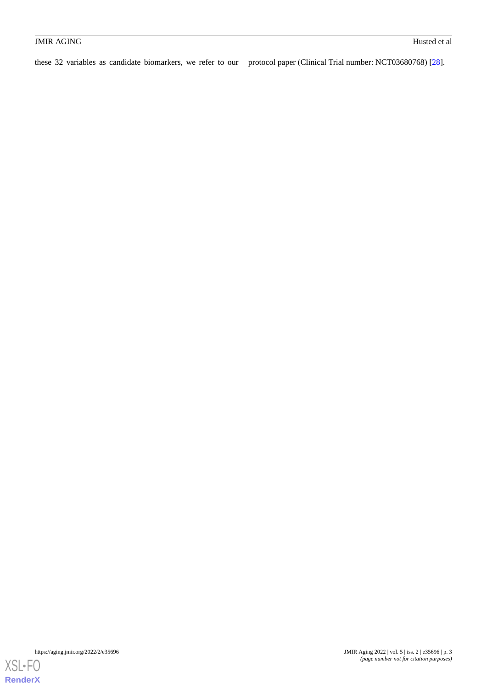these 32 variables as candidate biomarkers, we refer to our protocol paper (Clinical Trial number: NCT03680768) [\[28](#page-12-19)].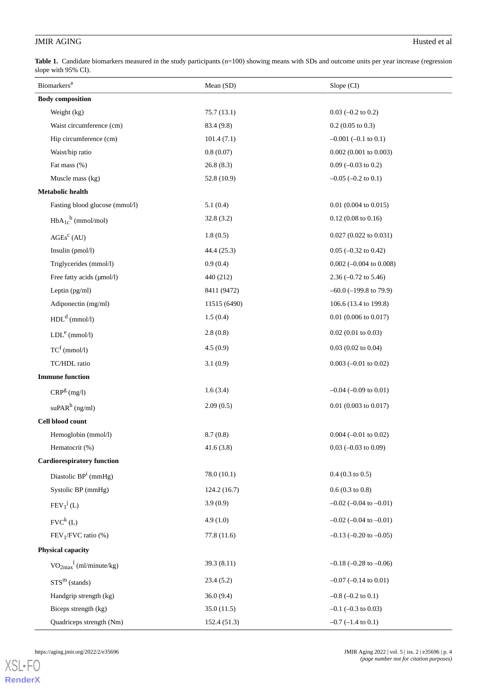<span id="page-3-0"></span>Table 1. Candidate biomarkers measured in the study participants (n=100) showing means with SDs and outcome units per year increase (regression slope with 95% CI).

| <b>Biomarkers<sup>a</sup></b>     | Mean (SD)    | Slope (CI)                       |  |  |  |
|-----------------------------------|--------------|----------------------------------|--|--|--|
| <b>Body composition</b>           |              |                                  |  |  |  |
| Weight (kg)                       | 75.7(13.1)   | $0.03$ (-0.2 to 0.2)             |  |  |  |
| Waist circumference (cm)          | 83.4 (9.8)   | $0.2$ (0.05 to 0.3)              |  |  |  |
| Hip circumference (cm)            | 101.4(7.1)   | $-0.001$ $(-0.1$ to $0.1)$       |  |  |  |
| Waist/hip ratio                   | 0.8(0.07)    | $0.002$ (0.001 to 0.003)         |  |  |  |
| Fat mass (%)                      | 26.8(8.3)    | $0.09$ (-0.03 to 0.2)            |  |  |  |
| Muscle mass (kg)                  | 52.8 (10.9)  | $-0.05$ $(-0.2$ to $0.1)$        |  |  |  |
| Metabolic health                  |              |                                  |  |  |  |
| Fasting blood glucose (mmol/l)    | 5.1(0.4)     | $0.01$ (0.004 to 0.015)          |  |  |  |
| $HbA_{1c}^b$ (mmol/mol)           | 32.8(3.2)    | $0.12$ (0.08 to 0.16)            |  |  |  |
| AGEs <sup>c</sup> (AU)            | 1.8(0.5)     | $0.027$ (0.022 to 0.031)         |  |  |  |
| Insulin (pmol/l)                  | 44.4 (25.3)  | $0.05$ (-0.32 to 0.42)           |  |  |  |
| Triglycerides (mmol/l)            | 0.9(0.4)     | $0.002$ (-0.004 to 0.008)        |  |  |  |
| Free fatty acids (µmol/l)         | 440 (212)    | 2.36 $(-0.72 \text{ to } 5.46)$  |  |  |  |
| Leptin (pg/ml)                    | 8411 (9472)  | $-60.0$ ( $-199.8$ to 79.9)      |  |  |  |
| Adiponectin (mg/ml)               | 11515 (6490) | 106.6 (13.4 to 199.8)            |  |  |  |
| $HDLd$ (mmol/l)                   | 1.5(0.4)     | $0.01$ (0.006 to 0.017)          |  |  |  |
| $LDLe$ (mmol/l)                   | 2.8(0.8)     | $0.02$ (0.01 to 0.03)            |  |  |  |
| $TC^{f}$ (mmol/l)                 | 4.5(0.9)     | $0.03$ (0.02 to 0.04)            |  |  |  |
| TC/HDL ratio                      | 3.1(0.9)     | $0.003$ (-0.01 to 0.02)          |  |  |  |
| <b>Immune function</b>            |              |                                  |  |  |  |
| $CRPg$ (mg/l)                     | 1.6(3.4)     | $-0.04$ ( $-0.09$ to 0.01)       |  |  |  |
| $\supAR^h$ (ng/ml)                | 2.09(0.5)    | $0.01$ (0.003 to 0.017)          |  |  |  |
| Cell blood count                  |              |                                  |  |  |  |
| Hemoglobin (mmol/l)               | 8.7(0.8)     | $0.004 (-0.01 \text{ to } 0.02)$ |  |  |  |
| Hematocrit (%)                    | 41.6(3.8)    | $0.03$ (-0.03 to 0.09)           |  |  |  |
| <b>Cardiorespiratory function</b> |              |                                  |  |  |  |
| Diastolic $BP^i$ (mmHg)           | 78.0 (10.1)  | $0.4$ (0.3 to 0.5)               |  |  |  |
| Systolic BP (mmHg)                | 124.2(16.7)  | $0.6(0.3 \text{ to } 0.8)$       |  |  |  |
| $FEV_1^j(L)$                      | 3.9(0.9)     | $-0.02$ ( $-0.04$ to $-0.01$ )   |  |  |  |
| FVC <sup>k</sup> (L)              | 4.9(1.0)     | $-0.02$ ( $-0.04$ to $-0.01$ )   |  |  |  |
| $FEV1/FVC$ ratio (%)              | 77.8 (11.6)  | $-0.13$ ( $-0.20$ to $-0.05$ )   |  |  |  |
| <b>Physical capacity</b>          |              |                                  |  |  |  |
| $VO_{2max}^{-1}$ (ml/minute/kg)   | 39.3(8.11)   | $-0.18$ ( $-0.28$ to $-0.06$ )   |  |  |  |
| $STSm$ (stands)                   | 23.4(5.2)    | $-0.07$ ( $-0.14$ to 0.01)       |  |  |  |
| Handgrip strength (kg)            | 36.0(9.4)    | $-0.8$ ( $-0.2$ to 0.1)          |  |  |  |
| Biceps strength (kg)              | 35.0(11.5)   | $-0.1$ ( $-0.3$ to 0.03)         |  |  |  |
| Quadriceps strength (Nm)          | 152.4(51.3)  | $-0.7$ ( $-1.4$ to $0.1$ )       |  |  |  |

https://aging.jmir.org/2022/2/e35696 JMIR Aging 2022 | vol. 5 | iss. 2 | e35696 | p. 4

[XSL](http://www.w3.org/Style/XSL)•FO **[RenderX](http://www.renderx.com/)** *(page number not for citation purposes)*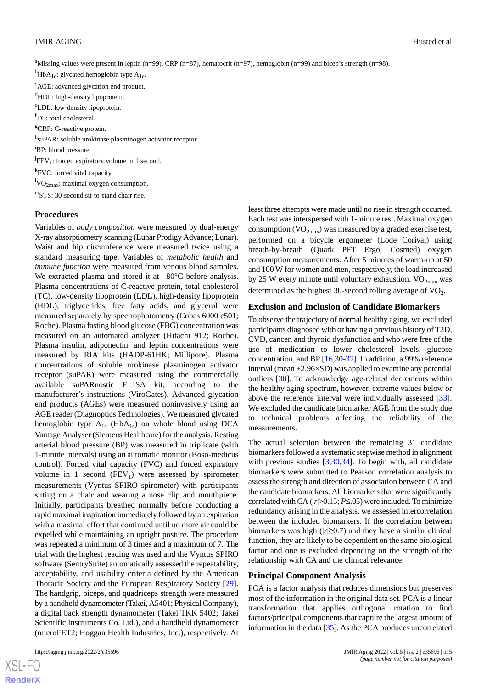<sup>a</sup>Missing values were present in leptin (n=99), CRP (n=87), hematocrit (n=97), hemoglobin (n=99) and bicep's strength (n=98).

<sup>b</sup>HbA<sub>1c</sub>: glycated hemoglobin type A<sub>1c</sub>. <sup>c</sup>AGE: advanced glycation end product.  $^{\text{d}}$ HDL: high-density lipoprotein. <sup>e</sup>LDL: low-density lipoprotein. <sup>f</sup>TC: total cholesterol. <sup>g</sup>CRP: C-reactive protein. <sup>h</sup>suPAR: soluble urokinase plasminogen activator receptor. <sup>i</sup>BP: blood pressure.  ${}^{j}$ FEV<sub>1</sub>: forced expiratory volume in 1 second.

<sup>k</sup>FVC: forced vital capacity.

 ${}^{1}VO_{2max}$ : maximal oxygen consumption.

<sup>m</sup>STS: 30-second sit-to-stand chair rise.

#### **Procedures**

Variables of *body composition* were measured by dual-energy X-ray absorptiometry scanning (Lunar Prodigy Advance; Lunar). Waist and hip circumference were measured twice using a standard measuring tape. Variables of *metabolic health* and *immune function* were measured from venous blood samples. We extracted plasma and stored it at  $-80^{\circ}$ C before analysis. Plasma concentrations of C-reactive protein, total cholesterol (TC), low-density lipoprotein (LDL), high-density lipoprotein (HDL), triglycerides, free fatty acids, and glycerol were measured separately by spectrophotometry (Cobas 6000 c501; Roche). Plasma fasting blood glucose (FBG) concentration was measured on an automated analyzer (Hitachi 912; Roche). Plasma insulin, adiponectin, and leptin concentrations were measured by RIA kits (HADP-61HK; Millipore). Plasma concentrations of soluble urokinase plasminogen activator receptor (suPAR) were measured using the commercially available suPARnostic ELISA kit, according to the manufacturer's instructions (ViroGates). Advanced glycation end products (AGEs) were measured noninvasively using an AGE reader (Diagnoptics Technologies). We measured glycated hemoglobin type  $A_{1c}$  (Hb $A_{1c}$ ) on whole blood using DCA Vantage Analyser (Siemens Healthcare) for the analysis. Resting arterial blood pressure (BP) was measured in triplicate (with 1-minute intervals) using an automatic monitor (Boso-medicus control). Forced vital capacity (FVC) and forced expiratory volume in 1 second  $(FEV_1)$  were assessed by spirometer measurements (Vyntus SPIRO spirometer) with participants sitting on a chair and wearing a nose clip and mouthpiece. Initially, participants breathed normally before conducting a rapid maximal inspiration immediately followed by an expiration with a maximal effort that continued until no more air could be expelled while maintaining an upright posture. The procedure was repeated a minimum of 3 times and a maximum of 7. The trial with the highest reading was used and the Vyntus SPIRO software (SentrySuite) automatically assessed the repeatability, acceptability, and usability criteria defined by the American Thoracic Society and the European Respiratory Society [[29\]](#page-12-20). The handgrip, biceps, and quadriceps strength were measured by a handheld dynamometer (Takei, A5401; Physical Company), a digital back strength dynamometer (Takei TKK 5402; Takei Scientific Instruments Co. Ltd.), and a handheld dynamometer (microFET2; Hoggan Health Industries, Inc.), respectively. At

 $XS$  • FC **[RenderX](http://www.renderx.com/)** least three attempts were made until no rise in strength occurred. Each test was interspersed with 1-minute rest. Maximal oxygen consumption  $(VO_{2max})$  was measured by a graded exercise test, performed on a bicycle ergometer (Lode Corival) using breath-by-breath (Quark PFT Ergo; Cosmed) oxygen consumption measurements. After 5 minutes of warm-up at 50 and 100 W for women and men, respectively, the load increased by 25 W every minute until voluntary exhaustion.  $VO_{2max}$  was determined as the highest 30-second rolling average of  $\text{VO}_2$ .

#### **Exclusion and Inclusion of Candidate Biomarkers**

To observe the trajectory of normal healthy aging, we excluded participants diagnosed with or having a previous history of T2D, CVD, cancer, and thyroid dysfunction and who were free of the use of medication to lower cholesterol levels, glucose concentration, and BP [[16](#page-12-8)[,30](#page-12-21)-[32\]](#page-13-0). In addition, a 99% reference interval (mean  $\pm$ 2.96×SD) was applied to examine any potential outliers [[30\]](#page-12-21). To acknowledge age-related decrements within the healthy aging spectrum, however, extreme values below or above the reference interval were individually assessed [[33\]](#page-13-1). We excluded the candidate biomarker AGE from the study due to technical problems affecting the reliability of the measurements.

The actual selection between the remaining 31 candidate biomarkers followed a systematic stepwise method in alignment with previous studies [[3,](#page-11-2)[30](#page-12-21),[34\]](#page-13-2). To begin with, all candidate biomarkers were submitted to Pearson correlation analysis to assess the strength and direction of association between CA and the candidate biomarkers. All biomarkers that were significantly correlated with CA ( $|r| > 0.15$ ;  $P \le 0.05$ ) were included. To minimize redundancy arising in the analysis, we assessed intercorrelation between the included biomarkers. If the correlation between biomarkers was high  $(|r| \ge 0.7)$  and they have a similar clinical function, they are likely to be dependent on the same biological factor and one is excluded depending on the strength of the relationship with CA and the clinical relevance.

#### **Principal Component Analysis**

PCA is a factor analysis that reduces dimensions but preserves most of the information in the original data set. PCA is a linear transformation that applies orthogonal rotation to find factors/principal components that capture the largest amount of information in the data [\[35](#page-13-3)]. As the PCA produces uncorrelated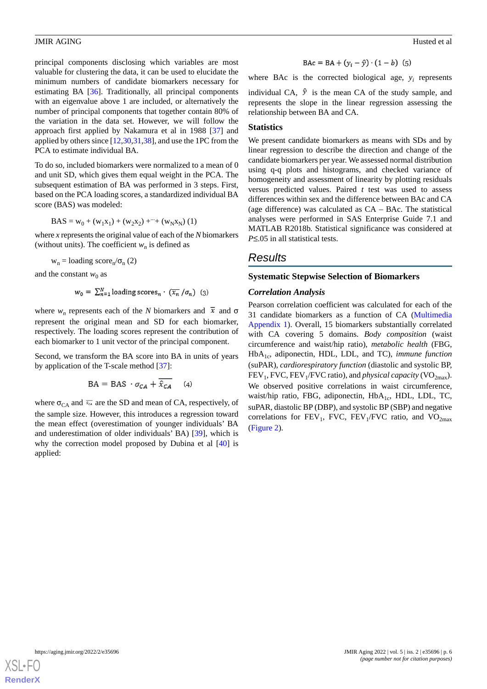principal components disclosing which variables are most valuable for clustering the data, it can be used to elucidate the minimum numbers of candidate biomarkers necessary for estimating BA [\[36](#page-13-4)]. Traditionally, all principal components with an eigenvalue above 1 are included, or alternatively the number of principal components that together contain 80% of the variation in the data set. However, we will follow the approach first applied by Nakamura et al in 1988 [[37\]](#page-13-5) and applied by others since [[12](#page-12-4)[,30](#page-12-21),[31](#page-13-6)[,38](#page-13-7)], and use the 1PC from the PCA to estimate individual BA.

To do so, included biomarkers were normalized to a mean of 0 and unit SD, which gives them equal weight in the PCA. The subsequent estimation of BA was performed in 3 steps. First, based on the PCA loading scores, a standardized individual BA score (BAS) was modeled:

$$
BAS = w_0 + (w_1x_1) + (w_2x_2) + ... + (w_Nx_N) (1)
$$

where *x* represents the original value of each of the *N* biomarkers (without units). The coefficient  $w_n$  is defined as

$$
w_n = loading score_n / \sigma_n (2)
$$

and the constant  $w_0$  as

$$
w_0 = \sum_{n=1}^{N} \text{loading scores}_n \cdot (\overline{x_n} / \sigma_n) \quad (3)
$$

where  $w_n$  represents each of the *N* biomarkers and  $\bar{x}$  and  $\sigma$ represent the original mean and SD for each biomarker, respectively. The loading scores represent the contribution of each biomarker to 1 unit vector of the principal component.

Second, we transform the BA score into BA in units of years by application of the T-scale method [\[37](#page-13-5)]:

$$
BA = BAS \cdot \sigma_{CA} + \overline{\hat{x}_{CA}} \quad (4)
$$

where  $\sigma_{CA}$  and  $\bar{z}_{CA}$  are the SD and mean of CA, respectively, of the sample size. However, this introduces a regression toward the mean effect (overestimation of younger individuals' BA and underestimation of older individuals' BA) [[39\]](#page-13-8), which is why the correction model proposed by Dubina et al [[40\]](#page-13-9) is applied:

$$
\text{BAc} = \text{BA} + (y_i - \hat{y}) \cdot (1 - b) \tag{5}
$$

where BAc is the corrected biological age,  $y_i$  represents

individual CA,  $\hat{y}$  is the mean CA of the study sample, and represents the slope in the linear regression assessing the relationship between BA and CA.

#### **Statistics**

We present candidate biomarkers as means with SDs and by linear regression to describe the direction and change of the candidate biomarkers per year. We assessed normal distribution using q-q plots and histograms, and checked variance of homogeneity and assessment of linearity by plotting residuals versus predicted values. Paired *t* test was used to assess differences within sex and the difference between BAc and CA (age difference) was calculated as CA – BAc. The statistical analyses were performed in SAS Enterprise Guide 7.1 and MATLAB R2018b. Statistical significance was considered at *P*≤.05 in all statistical tests.

# *Results*

#### **Systematic Stepwise Selection of Biomarkers**

#### *Correlation Analysis*

Pearson correlation coefficient was calculated for each of the 31 candidate biomarkers as a function of CA [\(Multimedia](#page-11-5) [Appendix 1\)](#page-11-5). Overall, 15 biomarkers substantially correlated with CA covering 5 domains. *Body composition* (waist circumference and waist/hip ratio), *metabolic health* (FBG, HbA1c, adiponectin, HDL, LDL, and TC), *immune function* (suPAR), *cardiorespiratory function* (diastolic and systolic BP, FEV<sub>1</sub>, FVC, FEV<sub>1</sub>/FVC ratio), and *physical capacity* (VO<sub>2max</sub>). We observed positive correlations in waist circumference, waist/hip ratio, FBG, adiponectin,  $HbA_{1c}$ , HDL, LDL, TC, suPAR, diastolic BP (DBP), and systolic BP (SBP) and negative correlations for  $FEV_1$ , FVC,  $FEV_1/FVC$  ratio, and  $VO_{2max}$ ([Figure 2\)](#page-6-0).

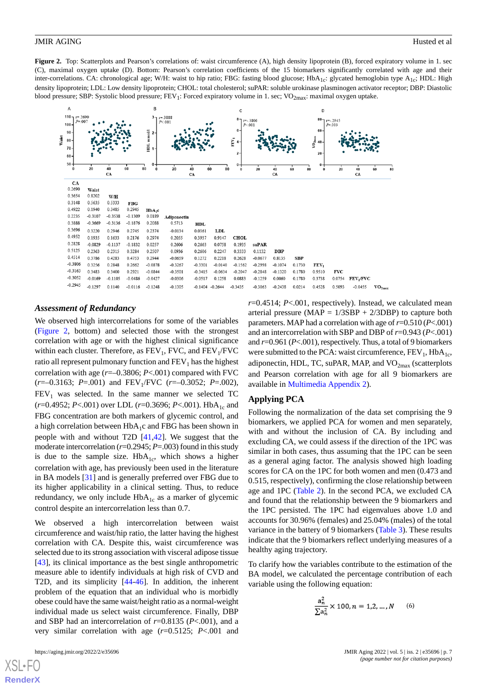<span id="page-6-0"></span>Figure 2. Top: Scatterplots and Pearson's correlations of: waist circumference (A), high density lipoprotein (B), forced expiratory volume in 1. sec (C), maximal oxygen uptake (D). Bottom: Pearson's correlation coefficients of the 15 biomarkers significantly correlated with age and their inter-correlations. CA: chronological age; W/H: waist to hip ratio; FBG: fasting blood glucose; HbA<sub>1c</sub>: glycated hemoglobin type A<sub>1c</sub>; HDL: High density lipoprotein; LDL: Low density lipoprotein; CHOL: total cholesterol; suPAR: soluble urokinase plasminogen activator receptor; DBP: Diastolic blood pressure; SBP: Systolic blood pressure;  $FEV_1$ : Forced expiratory volume in 1. sec; VO<sub>2max</sub>: maximal oxygen uptake.



#### *Assessment of Redundancy*

We observed high intercorrelations for some of the variables ([Figure 2,](#page-6-0) bottom) and selected those with the strongest correlation with age or with the highest clinical significance within each cluster. Therefore, as  $FEV_1$ , FVC, and  $FEV_1$ /FVC ratio all represent pulmonary function and  $FEV<sub>1</sub>$  has the highest correlation with age (*r*=–0.3806; *P*<.001) compared with FVC (*r*=–0.3163; *P*=.001) and FEV<sup>1</sup> /FVC (*r*=–0.3052; *P*=.002),  $FEV<sub>1</sub>$  was selected. In the same manner we selected TC ( $r=0.4952$ ;  $P<.001$ ) over LDL ( $r=0.3696$ ;  $P<.001$ ). HbA<sub>1c</sub> and FBG concentration are both markers of glycemic control, and a high correlation between  $HbA_1c$  and FBG has been shown in people with and without T2D [[41,](#page-13-10)[42](#page-13-11)]. We suggest that the moderate intercorrelation ( $r=0.2945$ ;  $P=.003$ ) found in this study is due to the sample size.  $HbA_{1c}$ , which shows a higher correlation with age, has previously been used in the literature in BA models [[31\]](#page-13-6) and is generally preferred over FBG due to its higher applicability in a clinical setting. Thus, to reduce redundancy, we only include  $HbA_{1c}$  as a marker of glycemic control despite an intercorrelation less than 0.7.

We observed a high intercorrelation between waist circumference and waist/hip ratio, the latter having the highest correlation with CA. Despite this, waist circumference was selected due to its strong association with visceral adipose tissue [[43\]](#page-13-12), its clinical importance as the best single anthropometric measure able to identify individuals at high risk of CVD and T2D, and its simplicity [\[44](#page-13-13)-[46\]](#page-13-14). In addition, the inherent problem of the equation that an individual who is morbidly obese could have the same waist/height ratio as a normal-weight individual made us select waist circumference. Finally, DBP and SBP had an intercorrelation of *r*=0.8135 (*P*<.001), and a very similar correlation with age (*r*=0.5125; *P*<.001 and

[XSL](http://www.w3.org/Style/XSL)•FO **[RenderX](http://www.renderx.com/)**

*r*=0.4514; *P*<.001, respectively). Instead, we calculated mean arterial pressure ( $MAP = 1/3SBP + 2/3DBP$ ) to capture both parameters. MAP had a correlation with age of *r*=0.510 (*P*<.001) and an intercorrelation with SBP and DBP of *r*=0.943 (*P*<.001) and *r*=0.961 (*P*<.001), respectively. Thus, a total of 9 biomarkers were submitted to the PCA: waist circumference,  $FEV_1$ ,  $HbA_1$ <sub>c</sub>, adiponectin, HDL, TC, suPAR, MAP, and  $VO<sub>2max</sub>$  (scatterplots and Pearson correlation with age for all 9 biomarkers are available in [Multimedia Appendix 2](#page-11-6)).

#### **Applying PCA**

Following the normalization of the data set comprising the 9 biomarkers, we applied PCA for women and men separately, with and without the inclusion of CA. By including and excluding CA, we could assess if the direction of the 1PC was similar in both cases, thus assuming that the 1PC can be seen as a general aging factor. The analysis showed high loading scores for CA on the 1PC for both women and men (0.473 and 0.515, respectively), confirming the close relationship between age and 1PC [\(Table 2](#page-7-0)). In the second PCA, we excluded CA and found that the relationship between the 9 biomarkers and the 1PC persisted. The 1PC had eigenvalues above 1.0 and accounts for 30.96% (females) and 25.04% (males) of the total variance in the battery of 9 biomarkers ([Table 3](#page-8-0)). These results indicate that the 9 biomarkers reflect underlying measures of a healthy aging trajectory.

To clarify how the variables contribute to the estimation of the BA model, we calculated the percentage contribution of each variable using the following equation:

$$
\frac{a_n^2}{\sum a_n^2} \times 100, n = 1, 2, ..., N
$$
 (6)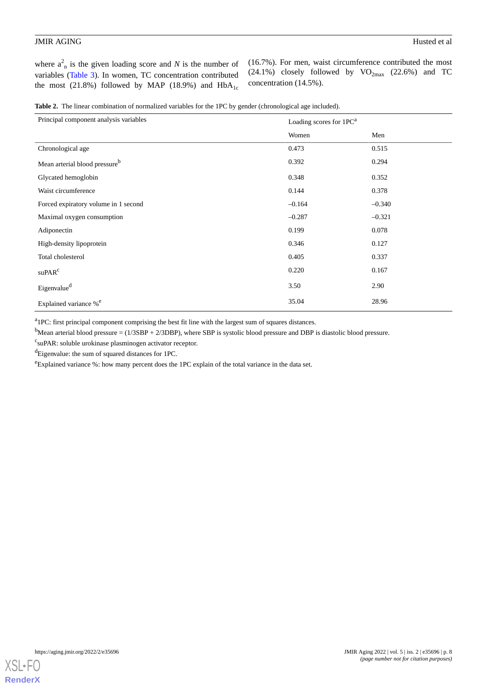where  $a_n^2$  is the given loading score and *N* is the number of variables [\(Table 3\)](#page-8-0). In women, TC concentration contributed the most (21.8%) followed by MAP (18.9%) and  $HbA_{1c}$  (16.7%). For men, waist circumference contributed the most (24.1%) closely followed by  $VO_{2max}$  (22.6%) and TC concentration (14.5%).

<span id="page-7-0"></span>

|  |  |  | Table 2. The linear combination of normalized variables for the 1PC by gender (chronological age included). |  |  |  |  |  |  |  |
|--|--|--|-------------------------------------------------------------------------------------------------------------|--|--|--|--|--|--|--|
|--|--|--|-------------------------------------------------------------------------------------------------------------|--|--|--|--|--|--|--|

| Principal component analysis variables    | Loading scores for 1PC <sup>a</sup> |          |
|-------------------------------------------|-------------------------------------|----------|
|                                           | Women                               | Men      |
| Chronological age                         | 0.473                               | 0.515    |
| Mean arterial blood pressure <sup>b</sup> | 0.392                               | 0.294    |
| Glycated hemoglobin                       | 0.348                               | 0.352    |
| Waist circumference                       | 0.144                               | 0.378    |
| Forced expiratory volume in 1 second      | $-0.164$                            | $-0.340$ |
| Maximal oxygen consumption                | $-0.287$                            | $-0.321$ |
| Adiponectin                               | 0.199                               | 0.078    |
| High-density lipoprotein                  | 0.346                               | 0.127    |
| Total cholesterol                         | 0.405                               | 0.337    |
| suPAR <sup>c</sup>                        | 0.220                               | 0.167    |
| Eigenvalue <sup>d</sup>                   | 3.50                                | 2.90     |
| Explained variance % <sup>e</sup>         | 35.04                               | 28.96    |

<sup>a</sup> 1PC: first principal component comprising the best fit line with the largest sum of squares distances.

<sup>b</sup>Mean arterial blood pressure = (1/3SBP + 2/3DBP), where SBP is systolic blood pressure and DBP is diastolic blood pressure.

<sup>c</sup>suPAR: soluble urokinase plasminogen activator receptor.

<sup>d</sup>Eigenvalue: the sum of squared distances for 1PC.

<sup>e</sup>Explained variance %: how many percent does the 1PC explain of the total variance in the data set.

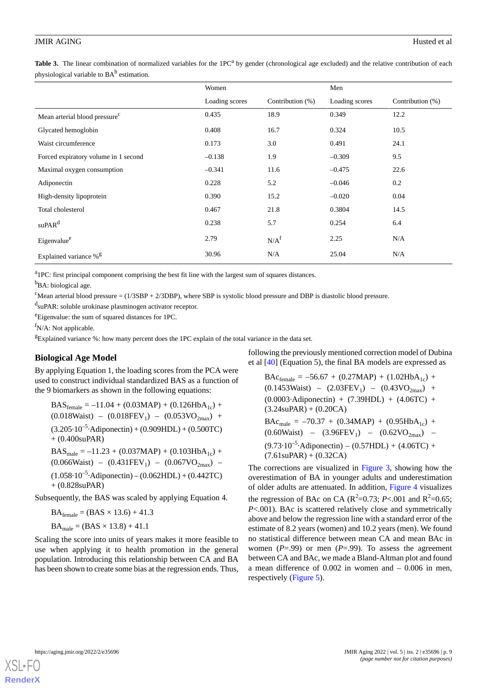<span id="page-8-0"></span>Table 3. The linear combination of normalized variables for the 1PC<sup>a</sup> by gender (chronological age excluded) and the relative contribution of each physiological variable to BA<sup>b</sup> estimation.

|                                           | Women          |                  | Men            |                  |  |
|-------------------------------------------|----------------|------------------|----------------|------------------|--|
|                                           | Loading scores | Contribution (%) | Loading scores | Contribution (%) |  |
| Mean arterial blood pressure <sup>c</sup> | 0.435          | 18.9             | 0.349          | 12.2             |  |
| Glycated hemoglobin                       | 0.408          | 16.7             | 0.324          | 10.5             |  |
| Waist circumference                       | 0.173          | 3.0              | 0.491          | 24.1             |  |
| Forced expiratory volume in 1 second      | $-0.138$       | 1.9              | $-0.309$       | 9.5              |  |
| Maximal oxygen consumption                | $-0.341$       | 11.6             | $-0.475$       | 22.6             |  |
| Adiponectin                               | 0.228          | 5.2              | $-0.046$       | 0.2              |  |
| High-density lipoprotein                  | 0.390          | 15.2             | $-0.020$       | 0.04             |  |
| Total cholesterol                         | 0.467          | 21.8             | 0.3804         | 14.5             |  |
| suPAR <sup>d</sup>                        | 0.238          | 5.7              | 0.254          | 6.4              |  |
| Eigenvalue <sup>e</sup>                   | 2.79           | N/A <sup>f</sup> | 2.25           | N/A              |  |
| Explained variance % <sup>g</sup>         | 30.96          | N/A              | 25.04          | N/A              |  |

<sup>a</sup> 1PC: first principal component comprising the best fit line with the largest sum of squares distances.

<sup>b</sup>BA: biological age.

<sup>c</sup>Mean arterial blood pressure = (1/3SBP + 2/3DBP), where SBP is systolic blood pressure and DBP is diastolic blood pressure.

<sup>d</sup>suPAR: soluble urokinase plasminogen activator receptor.

<sup>e</sup>Eigenvalue: the sum of squared distances for 1PC.

 $f_{N/A}$ : Not applicable.

<sup>g</sup>Explained variance %: how many percent does the 1PC explain of the total variance in the data set.

# **Biological Age Model**

By applying Equation 1, the loading scores from the PCA were used to construct individual standardized BAS as a function of the 9 biomarkers as shown in the following equations:

 $BAS_{female} = -11.04 + (0.03MAP) + (0.126HbA_{1c}) +$  $(0.018\text{Waist}) - (0.018\text{FEV}_1) - (0.053\text{VO}_{2\text{max}}) +$  $(3.205 \cdot 10^{-5} \cdot \text{Adiponectin}) + (0.909 \text{HDL}) + (0.500 \text{TC})$ + (0.400suPAR)

 $BAS<sub>male</sub> = -11.23 + (0.037MAP) + (0.103HbA<sub>1c</sub>) +$  $(0.066\text{Waist}) - (0.431\text{FEV}_1) - (0.067\text{VO}_{2\text{max}}) (1.058 \cdot 10^{-5} \cdot \text{Adiponectin}) - (0.062 \text{HDL}) + (0.442 \text{TC})$ + (0.828suPAR)

Subsequently, the BAS was scaled by applying Equation 4.

 $BA_{\text{female}} = (BAS \times 13.6) + 41.3$ 

 $BA_{male} = (BAS \times 13.8) + 41.1$ 

Scaling the score into units of years makes it more feasible to use when applying it to health promotion in the general population. Introducing this relationship between CA and BA has been shown to create some bias at the regression ends. Thus, following the previously mentioned correction model of Dubina et al [\[40](#page-13-9)] (Equation 5), the final BA models are expressed as

 $BAc_{\text{female}} = -56.67 + (0.27 \text{MAP}) + (1.02 \text{HbA}_{1c}) +$  $(0.1453\text{Waist}) - (2.03\text{FEV}_1) - (0.43\text{VO}_{2\text{max}}) +$  $(0.0003 \cdot \text{Adiponectin}) + (7.39 \text{HDL}) + (4.06 \text{TC}) +$  $(3.24 \text{subPAR}) + (0.20 \text{CA})$  $BAc_{male} = -70.37 + (0.34MAP) + (0.95HbA_{1c}) +$  $(0.60\text{Waist}) - (3.96\text{FEV}_1) - (0.62\text{VO}_{2\text{max}}) (9.73 \cdot 10^{-5} \cdot \text{Adiponectin}) - (0.57 \text{HDL}) + (4.06 \text{TC}) +$  $(7.61 \text{subPAR}) + (0.32 \text{CA})$ 

The corrections are visualized in [Figure 3,](#page-9-0) showing how the overestimation of BA in younger adults and underestimation of older adults are attenuated. In addition, [Figure 4](#page-9-1) visualizes the regression of BAc on CA ( $R^2$ =0.73; *P*<.001 and  $R^2$ =0.65; *P*<.001). BAc is scattered relatively close and symmetrically above and below the regression line with a standard error of the estimate of 8.2 years (women) and 10.2 years (men). We found no statistical difference between mean CA and mean BAc in women  $(P=.99)$  or men  $(P=.99)$ . To assess the agreement between CA and BAc, we made a Bland-Altman plot and found a mean difference of 0.002 in women and – 0.006 in men, respectively [\(Figure 5\)](#page-9-2).

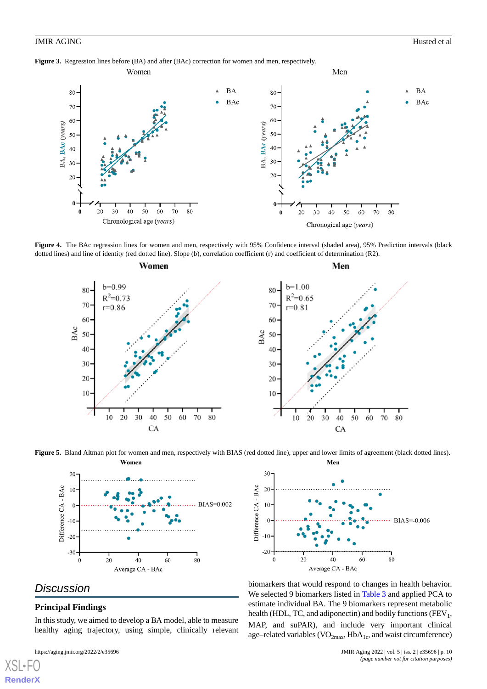#### <span id="page-9-0"></span>**Figure 3.** Regression lines before (BA) and after (BAc) correction for women and men, respectively.



<span id="page-9-1"></span>**Figure 4.** The BAc regression lines for women and men, respectively with 95% Confidence interval (shaded area), 95% Prediction intervals (black dotted lines) and line of identity (red dotted line). Slope (b), correlation coefficient (r) and coefficient of determination (R2).



<span id="page-9-2"></span>Figure 5. Bland Altman plot for women and men, respectively with BIAS (red dotted line), upper and lower limits of agreement (black dotted lines). Men Women





# *Discussion*

[XSL](http://www.w3.org/Style/XSL)•FO **[RenderX](http://www.renderx.com/)**

# **Principal Findings**

In this study, we aimed to develop a BA model, able to measure healthy aging trajectory, using simple, clinically relevant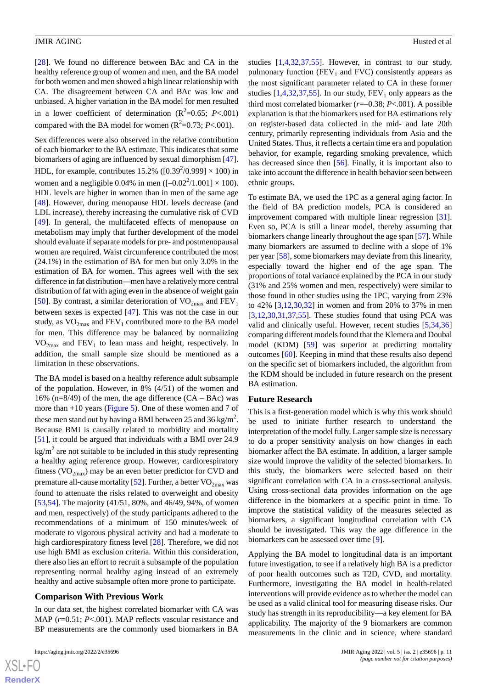[[28\]](#page-12-19). We found no difference between BAc and CA in the healthy reference group of women and men, and the BA model for both women and men showed a high linear relationship with CA. The disagreement between CA and BAc was low and unbiased. A higher variation in the BA model for men resulted in a lower coefficient of determination  $(R^2=0.65; P<.001)$ compared with the BA model for women  $(R^2=0.73; P<.001)$ .

Sex differences were also observed in the relative contribution of each biomarker to the BA estimate. This indicates that some biomarkers of aging are influenced by sexual dimorphism [[47\]](#page-13-15). HDL, for example, contributes  $15.2\%$  ([0.39<sup>2</sup>/0.999]  $\times$  100) in women and a negligible 0.04% in men  $([-0.02^2/1.001] \times 100)$ . HDL levels are higher in women than in men of the same age [[48\]](#page-13-16). However, during menopause HDL levels decrease (and LDL increase), thereby increasing the cumulative risk of CVD [[49\]](#page-13-17). In general, the multifaceted effects of menopause on metabolism may imply that further development of the model should evaluate if separate models for pre- and postmenopausal women are required. Waist circumference contributed the most (24.1%) in the estimation of BA for men but only 3.0% in the estimation of BA for women. This agrees well with the sex difference in fat distribution—men have a relatively more central distribution of fat with aging even in the absence of weight gain [[50\]](#page-13-18). By contrast, a similar deterioration of  $VO<sub>2max</sub>$  and  $FEV<sub>1</sub>$ between sexes is expected [[47\]](#page-13-15). This was not the case in our study, as  $\text{VO}_{2\text{max}}$  and  $\text{FEV}_1$  contributed more to the BA model for men. This difference may be balanced by normalizing  $VO<sub>2max</sub>$  and  $FEV<sub>1</sub>$  to lean mass and height, respectively. In addition, the small sample size should be mentioned as a limitation in these observations.

The BA model is based on a healthy reference adult subsample of the population. However, in 8% (4/51) of the women and 16% ( $n=8/49$ ) of the men, the age difference ( $CA - BAc$ ) was more than +10 years ([Figure 5\)](#page-9-2). One of these women and 7 of these men stand out by having a BMI between 25 and 36 kg/m<sup>2</sup>. Because BMI is causally related to morbidity and mortality [[51\]](#page-13-19), it could be argued that individuals with a BMI over 24.9  $\text{kg/m}^2$  are not suitable to be included in this study representing a healthy aging reference group. However, cardiorespiratory fitness ( $VO_{2max}$ ) may be an even better predictor for CVD and premature all-cause mortality [\[52](#page-13-20)]. Further, a better  $VO<sub>2max</sub>$  was found to attenuate the risks related to overweight and obesity [[53](#page-14-0)[,54](#page-14-1)]. The majority (41/51, 80%, and 46/49, 94%, of women and men, respectively) of the study participants adhered to the recommendations of a minimum of 150 minutes/week of moderate to vigorous physical activity and had a moderate to high cardiorespiratory fitness level [[28\]](#page-12-19). Therefore, we did not use high BMI as exclusion criteria. Within this consideration, there also lies an effort to recruit a subsample of the population representing normal healthy aging instead of an extremely healthy and active subsample often more prone to participate.

#### **Comparison With Previous Work**

In our data set, the highest correlated biomarker with CA was MAP ( $r=0.51$ ; *P<.*001). MAP reflects vascular resistance and BP measurements are the commonly used biomarkers in BA

 $XS$  • FO **[RenderX](http://www.renderx.com/)** studies [\[1,](#page-11-0)[4,](#page-11-7)[32,](#page-13-0)[37](#page-13-5)[,55](#page-14-2)]. However, in contrast to our study, pulmonary function ( $FEV<sub>1</sub>$  and  $FVC$ ) consistently appears as the most significant parameter related to CA in these former studies  $[1,4,32,37,55]$  $[1,4,32,37,55]$  $[1,4,32,37,55]$  $[1,4,32,37,55]$  $[1,4,32,37,55]$  $[1,4,32,37,55]$  $[1,4,32,37,55]$  $[1,4,32,37,55]$ . In our study,  $FEV<sub>1</sub>$  only appears as the third most correlated biomarker (*r*=–0.38; *P*<.001). A possible explanation is that the biomarkers used for BA estimations rely on register-based data collected in the mid- and late 20th century, primarily representing individuals from Asia and the United States. Thus, it reflects a certain time era and population behavior, for example, regarding smoking prevalence, which has decreased since then [\[56](#page-14-3)]. Finally, it is important also to take into account the difference in health behavior seen between ethnic groups.

To estimate BA, we used the 1PC as a general aging factor. In the field of BA prediction models, PCA is considered an improvement compared with multiple linear regression [[31\]](#page-13-6). Even so, PCA is still a linear model, thereby assuming that biomarkers change linearly throughout the age span [[57\]](#page-14-4). While many biomarkers are assumed to decline with a slope of 1% per year [\[58](#page-14-5)], some biomarkers may deviate from this linearity, especially toward the higher end of the age span. The proportions of total variance explained by the PCA in our study (31% and 25% women and men, respectively) were similar to those found in other studies using the 1PC, varying from 23% to 42% [\[3](#page-11-2),[12,](#page-12-4)[30](#page-12-21),[32\]](#page-13-0) in women and from 20% to 37% in men [[3](#page-11-2)[,12](#page-12-4),[30,](#page-12-21)[31,](#page-13-6)[37](#page-13-5)[,55](#page-14-2)]. These studies found that using PCA was valid and clinically useful. However, recent studies [\[5](#page-11-3),[34](#page-13-2)[,36](#page-13-4)] comparing different models found that the Klemera and Doubal model (KDM) [[59\]](#page-14-6) was superior at predicting mortality outcomes [[60\]](#page-14-7). Keeping in mind that these results also depend on the specific set of biomarkers included, the algorithm from the KDM should be included in future research on the present BA estimation.

#### **Future Research**

This is a first-generation model which is why this work should be used to initiate further research to understand the interpretation of the model fully. Larger sample size is necessary to do a proper sensitivity analysis on how changes in each biomarker affect the BA estimate. In addition, a larger sample size would improve the validity of the selected biomarkers. In this study, the biomarkers were selected based on their significant correlation with CA in a cross-sectional analysis. Using cross-sectional data provides information on the age difference in the biomarkers at a specific point in time. To improve the statistical validity of the measures selected as biomarkers, a significant longitudinal correlation with CA should be investigated. This way the age difference in the biomarkers can be assessed over time [\[9](#page-12-22)].

Applying the BA model to longitudinal data is an important future investigation, to see if a relatively high BA is a predictor of poor health outcomes such as T2D, CVD, and mortality. Furthermore, investigating the BA model in health-related interventions will provide evidence as to whether the model can be used as a valid clinical tool for measuring disease risks. Our study has strength in its reproducibility—a key element for BA applicability. The majority of the 9 biomarkers are common measurements in the clinic and in science, where standard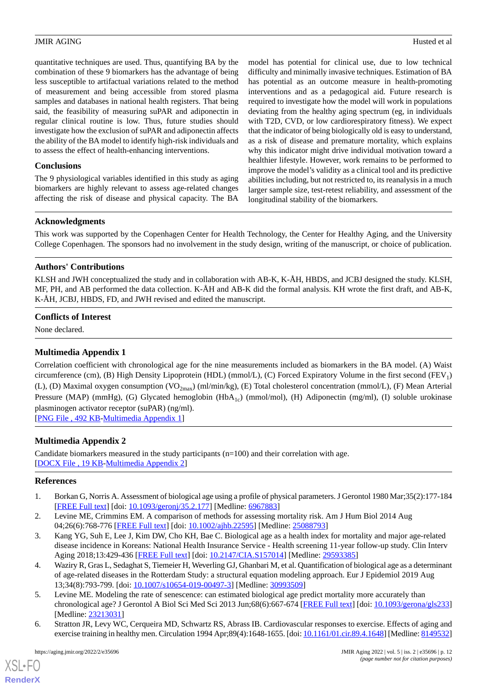quantitative techniques are used. Thus, quantifying BA by the combination of these 9 biomarkers has the advantage of being less susceptible to artifactual variations related to the method of measurement and being accessible from stored plasma samples and databases in national health registers. That being said, the feasibility of measuring suPAR and adiponectin in regular clinical routine is low. Thus, future studies should investigate how the exclusion of suPAR and adiponectin affects the ability of the BA model to identify high-risk individuals and to assess the effect of health-enhancing interventions.

# **Conclusions**

The 9 physiological variables identified in this study as aging biomarkers are highly relevant to assess age-related changes affecting the risk of disease and physical capacity. The BA model has potential for clinical use, due to low technical difficulty and minimally invasive techniques. Estimation of BA has potential as an outcome measure in health-promoting interventions and as a pedagogical aid. Future research is required to investigate how the model will work in populations deviating from the healthy aging spectrum (eg, in individuals with T2D, CVD, or low cardiorespiratory fitness). We expect that the indicator of being biologically old is easy to understand, as a risk of disease and premature mortality, which explains why this indicator might drive individual motivation toward a healthier lifestyle. However, work remains to be performed to improve the model's validity as a clinical tool and its predictive abilities including, but not restricted to, its reanalysis in a much larger sample size, test-retest reliability, and assessment of the longitudinal stability of the biomarkers.

# **Acknowledgments**

This work was supported by the Copenhagen Center for Health Technology, the Center for Healthy Aging, and the University College Copenhagen. The sponsors had no involvement in the study design, writing of the manuscript, or choice of publication.

# **Authors' Contributions**

KLSH and JWH conceptualized the study and in collaboration with AB-K, K-ÅH, HBDS, and JCBJ designed the study. KLSH, MF, PH, and AB performed the data collection. K-ÅH and AB-K did the formal analysis. KH wrote the first draft, and AB-K, K-ÅH, JCBJ, HBDS, FD, and JWH revised and edited the manuscript.

# <span id="page-11-5"></span>**Conflicts of Interest**

None declared.

# **Multimedia Appendix 1**

Correlation coefficient with chronological age for the nine measurements included as biomarkers in the BA model. (A) Waist circumference (cm), (B) High Density Lipoprotein (HDL) (mmol/L), (C) Forced Expiratory Volume in the first second (FEV<sub>1</sub>) (L), (D) Maximal oxygen consumption (VO<sub>2max</sub>) (ml/min/kg), (E) Total cholesterol concentration (mmol/L), (F) Mean Arterial Pressure (MAP) (mmHg), (G) Glycated hemoglobin (HbA<sub>1c</sub>) (mmol/mol), (H) Adiponectin (mg/ml), (I) soluble urokinase plasminogen activator receptor (suPAR) (ng/ml).

<span id="page-11-6"></span>[[PNG File , 492 KB-Multimedia Appendix 1](https://jmir.org/api/download?alt_name=aging_v5i2e35696_app1.png&filename=aec3569e8b03e97fbac95decc810bafe.png)]

# <span id="page-11-0"></span>**Multimedia Appendix 2**

<span id="page-11-1"></span>Candidate biomarkers measured in the study participants (n=100) and their correlation with age. [[DOCX File , 19 KB](https://jmir.org/api/download?alt_name=aging_v5i2e35696_app2.docx&filename=ea1639627bbabf9bf253286dfaff26f0.docx)-[Multimedia Appendix 2\]](https://jmir.org/api/download?alt_name=aging_v5i2e35696_app2.docx&filename=ea1639627bbabf9bf253286dfaff26f0.docx)

# <span id="page-11-2"></span>**References**

- 1. Borkan G, Norris A. Assessment of biological age using a profile of physical parameters. J Gerontol 1980 Mar;35(2):177-184 [[FREE Full text](https://doi.org/10.1093/geronj/35.2.177)] [doi: [10.1093/geronj/35.2.177](http://dx.doi.org/10.1093/geronj/35.2.177)] [Medline: [6967883\]](http://www.ncbi.nlm.nih.gov/entrez/query.fcgi?cmd=Retrieve&db=PubMed&list_uids=6967883&dopt=Abstract)
- <span id="page-11-7"></span>2. Levine ME, Crimmins EM. A comparison of methods for assessing mortality risk. Am J Hum Biol 2014 Aug 04;26(6):768-776 [[FREE Full text](http://europepmc.org/abstract/MED/25088793)] [doi: [10.1002/ajhb.22595](http://dx.doi.org/10.1002/ajhb.22595)] [Medline: [25088793\]](http://www.ncbi.nlm.nih.gov/entrez/query.fcgi?cmd=Retrieve&db=PubMed&list_uids=25088793&dopt=Abstract)
- <span id="page-11-3"></span>3. Kang YG, Suh E, Lee J, Kim DW, Cho KH, Bae C. Biological age as a health index for mortality and major age-related disease incidence in Koreans: National Health Insurance Service - Health screening 11-year follow-up study. Clin Interv Aging 2018;13:429-436 [[FREE Full text](https://dx.doi.org/10.2147/CIA.S157014)] [doi: [10.2147/CIA.S157014\]](http://dx.doi.org/10.2147/CIA.S157014) [Medline: [29593385\]](http://www.ncbi.nlm.nih.gov/entrez/query.fcgi?cmd=Retrieve&db=PubMed&list_uids=29593385&dopt=Abstract)
- <span id="page-11-4"></span>4. Waziry R, Gras L, Sedaghat S, Tiemeier H, Weverling GJ, Ghanbari M, et al. Quantification of biological age as a determinant of age-related diseases in the Rotterdam Study: a structural equation modeling approach. Eur J Epidemiol 2019 Aug 13;34(8):793-799. [doi: [10.1007/s10654-019-00497-3\]](http://dx.doi.org/10.1007/s10654-019-00497-3) [Medline: [30993509](http://www.ncbi.nlm.nih.gov/entrez/query.fcgi?cmd=Retrieve&db=PubMed&list_uids=30993509&dopt=Abstract)]
- 5. Levine ME. Modeling the rate of senescence: can estimated biological age predict mortality more accurately than chronological age? J Gerontol A Biol Sci Med Sci 2013 Jun;68(6):667-674 [[FREE Full text\]](http://europepmc.org/abstract/MED/23213031) [doi: [10.1093/gerona/gls233](http://dx.doi.org/10.1093/gerona/gls233)] [Medline: [23213031](http://www.ncbi.nlm.nih.gov/entrez/query.fcgi?cmd=Retrieve&db=PubMed&list_uids=23213031&dopt=Abstract)]
- 6. Stratton JR, Levy WC, Cerqueira MD, Schwartz RS, Abrass IB. Cardiovascular responses to exercise. Effects of aging and exercise training in healthy men. Circulation 1994 Apr;89(4):1648-1655. [doi: [10.1161/01.cir.89.4.1648](http://dx.doi.org/10.1161/01.cir.89.4.1648)] [Medline: [8149532\]](http://www.ncbi.nlm.nih.gov/entrez/query.fcgi?cmd=Retrieve&db=PubMed&list_uids=8149532&dopt=Abstract)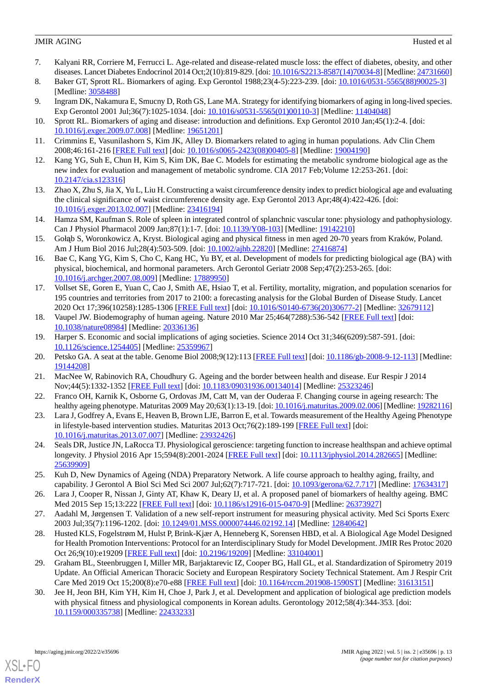- <span id="page-12-0"></span>7. Kalyani RR, Corriere M, Ferrucci L. Age-related and disease-related muscle loss: the effect of diabetes, obesity, and other diseases. Lancet Diabetes Endocrinol 2014 Oct;2(10):819-829. [doi: [10.1016/S2213-8587\(14\)70034-8](http://dx.doi.org/10.1016/S2213-8587(14)70034-8)] [Medline: [24731660](http://www.ncbi.nlm.nih.gov/entrez/query.fcgi?cmd=Retrieve&db=PubMed&list_uids=24731660&dopt=Abstract)]
- <span id="page-12-22"></span><span id="page-12-1"></span>8. Baker GT, Sprott RL. Biomarkers of aging. Exp Gerontol 1988;23(4-5):223-239. [doi: [10.1016/0531-5565\(88\)90025-3\]](http://dx.doi.org/10.1016/0531-5565(88)90025-3) [Medline: [3058488\]](http://www.ncbi.nlm.nih.gov/entrez/query.fcgi?cmd=Retrieve&db=PubMed&list_uids=3058488&dopt=Abstract)
- <span id="page-12-2"></span>9. Ingram DK, Nakamura E, Smucny D, Roth GS, Lane MA. Strategy for identifying biomarkers of aging in long-lived species. Exp Gerontol 2001 Jul;36(7):1025-1034. [doi: [10.1016/s0531-5565\(01\)00110-3\]](http://dx.doi.org/10.1016/s0531-5565(01)00110-3) [Medline: [11404048](http://www.ncbi.nlm.nih.gov/entrez/query.fcgi?cmd=Retrieve&db=PubMed&list_uids=11404048&dopt=Abstract)]
- <span id="page-12-3"></span>10. Sprott RL. Biomarkers of aging and disease: introduction and definitions. Exp Gerontol 2010 Jan;45(1):2-4. [doi: [10.1016/j.exger.2009.07.008](http://dx.doi.org/10.1016/j.exger.2009.07.008)] [Medline: [19651201\]](http://www.ncbi.nlm.nih.gov/entrez/query.fcgi?cmd=Retrieve&db=PubMed&list_uids=19651201&dopt=Abstract)
- <span id="page-12-4"></span>11. Crimmins E, Vasunilashorn S, Kim JK, Alley D. Biomarkers related to aging in human populations. Adv Clin Chem 2008;46:161-216 [\[FREE Full text\]](http://europepmc.org/abstract/MED/19004190) [doi: [10.1016/s0065-2423\(08\)00405-8](http://dx.doi.org/10.1016/s0065-2423(08)00405-8)] [Medline: [19004190](http://www.ncbi.nlm.nih.gov/entrez/query.fcgi?cmd=Retrieve&db=PubMed&list_uids=19004190&dopt=Abstract)]
- <span id="page-12-5"></span>12. Kang YG, Suh E, Chun H, Kim S, Kim DK, Bae C. Models for estimating the metabolic syndrome biological age as the new index for evaluation and management of metabolic syndrome. CIA 2017 Feb;Volume 12:253-261. [doi: [10.2147/cia.s123316\]](http://dx.doi.org/10.2147/cia.s123316)
- <span id="page-12-6"></span>13. Zhao X, Zhu S, Jia X, Yu L, Liu H. Constructing a waist circumference density index to predict biological age and evaluating the clinical significance of waist circumference density age. Exp Gerontol 2013 Apr;48(4):422-426. [doi: [10.1016/j.exger.2013.02.007](http://dx.doi.org/10.1016/j.exger.2013.02.007)] [Medline: [23416194\]](http://www.ncbi.nlm.nih.gov/entrez/query.fcgi?cmd=Retrieve&db=PubMed&list_uids=23416194&dopt=Abstract)
- <span id="page-12-7"></span>14. Hamza SM, Kaufman S. Role of spleen in integrated control of splanchnic vascular tone: physiology and pathophysiology. Can J Physiol Pharmacol 2009 Jan;87(1):1-7. [doi: [10.1139/Y08-103\]](http://dx.doi.org/10.1139/Y08-103) [Medline: [19142210\]](http://www.ncbi.nlm.nih.gov/entrez/query.fcgi?cmd=Retrieve&db=PubMed&list_uids=19142210&dopt=Abstract)
- <span id="page-12-8"></span>15. Gołąb S, Woronkowicz A, Kryst. Biological aging and physical fitness in men aged 20-70 years from Kraków, Poland. Am J Hum Biol 2016 Jul;28(4):503-509. [doi: [10.1002/ajhb.22820](http://dx.doi.org/10.1002/ajhb.22820)] [Medline: [27416874](http://www.ncbi.nlm.nih.gov/entrez/query.fcgi?cmd=Retrieve&db=PubMed&list_uids=27416874&dopt=Abstract)]
- <span id="page-12-9"></span>16. Bae C, Kang YG, Kim S, Cho C, Kang HC, Yu BY, et al. Development of models for predicting biological age (BA) with physical, biochemical, and hormonal parameters. Arch Gerontol Geriatr 2008 Sep;47(2):253-265. [doi: [10.1016/j.archger.2007.08.009](http://dx.doi.org/10.1016/j.archger.2007.08.009)] [Medline: [17889950\]](http://www.ncbi.nlm.nih.gov/entrez/query.fcgi?cmd=Retrieve&db=PubMed&list_uids=17889950&dopt=Abstract)
- <span id="page-12-10"></span>17. Vollset SE, Goren E, Yuan C, Cao J, Smith AE, Hsiao T, et al. Fertility, mortality, migration, and population scenarios for 195 countries and territories from 2017 to 2100: a forecasting analysis for the Global Burden of Disease Study. Lancet 2020 Oct 17;396(10258):1285-1306 [\[FREE Full text\]](https://linkinghub.elsevier.com/retrieve/pii/S0140-6736(20)30677-2) [doi: [10.1016/S0140-6736\(20\)30677-2](http://dx.doi.org/10.1016/S0140-6736(20)30677-2)] [Medline: [32679112\]](http://www.ncbi.nlm.nih.gov/entrez/query.fcgi?cmd=Retrieve&db=PubMed&list_uids=32679112&dopt=Abstract)
- <span id="page-12-12"></span><span id="page-12-11"></span>18. Vaupel JW. Biodemography of human ageing. Nature 2010 Mar 25;464(7288):536-542 [\[FREE Full text\]](http://europepmc.org/abstract/MED/20336136) [doi: [10.1038/nature08984\]](http://dx.doi.org/10.1038/nature08984) [Medline: [20336136\]](http://www.ncbi.nlm.nih.gov/entrez/query.fcgi?cmd=Retrieve&db=PubMed&list_uids=20336136&dopt=Abstract)
- <span id="page-12-13"></span>19. Harper S. Economic and social implications of aging societies. Science 2014 Oct 31;346(6209):587-591. [doi: [10.1126/science.1254405\]](http://dx.doi.org/10.1126/science.1254405) [Medline: [25359967](http://www.ncbi.nlm.nih.gov/entrez/query.fcgi?cmd=Retrieve&db=PubMed&list_uids=25359967&dopt=Abstract)]
- <span id="page-12-14"></span>20. Petsko GA. A seat at the table. Genome Biol 2008;9(12):113 [[FREE Full text\]](https://genomebiology.biomedcentral.com/articles/10.1186/gb-2008-9-12-113) [doi: [10.1186/gb-2008-9-12-113\]](http://dx.doi.org/10.1186/gb-2008-9-12-113) [Medline: [19144208](http://www.ncbi.nlm.nih.gov/entrez/query.fcgi?cmd=Retrieve&db=PubMed&list_uids=19144208&dopt=Abstract)]
- 21. MacNee W, Rabinovich RA, Choudhury G. Ageing and the border between health and disease. Eur Respir J 2014 Nov;44(5):1332-1352 [[FREE Full text](http://erj.ersjournals.com/cgi/pmidlookup?view=long&pmid=25323246)] [doi: [10.1183/09031936.00134014](http://dx.doi.org/10.1183/09031936.00134014)] [Medline: [25323246](http://www.ncbi.nlm.nih.gov/entrez/query.fcgi?cmd=Retrieve&db=PubMed&list_uids=25323246&dopt=Abstract)]
- <span id="page-12-15"></span>22. Franco OH, Karnik K, Osborne G, Ordovas JM, Catt M, van der Ouderaa F. Changing course in ageing research: The healthy ageing phenotype. Maturitas 2009 May 20;63(1):13-19. [doi: [10.1016/j.maturitas.2009.02.006](http://dx.doi.org/10.1016/j.maturitas.2009.02.006)] [Medline: [19282116\]](http://www.ncbi.nlm.nih.gov/entrez/query.fcgi?cmd=Retrieve&db=PubMed&list_uids=19282116&dopt=Abstract)
- <span id="page-12-16"></span>23. Lara J, Godfrey A, Evans E, Heaven B, Brown LJE, Barron E, et al. Towards measurement of the Healthy Ageing Phenotype in lifestyle-based intervention studies. Maturitas 2013 Oct;76(2):189-199 [\[FREE Full text\]](https://linkinghub.elsevier.com/retrieve/pii/S0378-5122(13)00225-9) [doi: [10.1016/j.maturitas.2013.07.007\]](http://dx.doi.org/10.1016/j.maturitas.2013.07.007) [Medline: [23932426\]](http://www.ncbi.nlm.nih.gov/entrez/query.fcgi?cmd=Retrieve&db=PubMed&list_uids=23932426&dopt=Abstract)
- <span id="page-12-17"></span>24. Seals DR, Justice JN, LaRocca TJ. Physiological geroscience: targeting function to increase healthspan and achieve optimal longevity. J Physiol 2016 Apr 15;594(8):2001-2024 [\[FREE Full text\]](https://doi.org/10.1113/jphysiol.2014.282665) [doi: [10.1113/jphysiol.2014.282665](http://dx.doi.org/10.1113/jphysiol.2014.282665)] [Medline: [25639909](http://www.ncbi.nlm.nih.gov/entrez/query.fcgi?cmd=Retrieve&db=PubMed&list_uids=25639909&dopt=Abstract)]
- <span id="page-12-19"></span><span id="page-12-18"></span>25. Kuh D, New Dynamics of Ageing (NDA) Preparatory Network. A life course approach to healthy aging, frailty, and capability. J Gerontol A Biol Sci Med Sci 2007 Jul;62(7):717-721. [doi: [10.1093/gerona/62.7.717\]](http://dx.doi.org/10.1093/gerona/62.7.717) [Medline: [17634317\]](http://www.ncbi.nlm.nih.gov/entrez/query.fcgi?cmd=Retrieve&db=PubMed&list_uids=17634317&dopt=Abstract)
- 26. Lara J, Cooper R, Nissan J, Ginty AT, Khaw K, Deary IJ, et al. A proposed panel of biomarkers of healthy ageing. BMC Med 2015 Sep 15;13:222 [[FREE Full text](https://bmcmedicine.biomedcentral.com/articles/10.1186/s12916-015-0470-9)] [doi: [10.1186/s12916-015-0470-9\]](http://dx.doi.org/10.1186/s12916-015-0470-9) [Medline: [26373927](http://www.ncbi.nlm.nih.gov/entrez/query.fcgi?cmd=Retrieve&db=PubMed&list_uids=26373927&dopt=Abstract)]
- <span id="page-12-20"></span>27. Aadahl M, Jørgensen T. Validation of a new self-report instrument for measuring physical activity. Med Sci Sports Exerc 2003 Jul;35(7):1196-1202. [doi: [10.1249/01.MSS.0000074446.02192.14\]](http://dx.doi.org/10.1249/01.MSS.0000074446.02192.14) [Medline: [12840642\]](http://www.ncbi.nlm.nih.gov/entrez/query.fcgi?cmd=Retrieve&db=PubMed&list_uids=12840642&dopt=Abstract)
- <span id="page-12-21"></span>28. Husted KLS, Fogelstrøm M, Hulst P, Brink-Kjær A, Henneberg K, Sorensen HBD, et al. A Biological Age Model Designed for Health Promotion Interventions: Protocol for an Interdisciplinary Study for Model Development. JMIR Res Protoc 2020 Oct 26;9(10):e19209 [[FREE Full text](https://www.researchprotocols.org/2020/10/e19209/)] [doi: [10.2196/19209\]](http://dx.doi.org/10.2196/19209) [Medline: [33104001\]](http://www.ncbi.nlm.nih.gov/entrez/query.fcgi?cmd=Retrieve&db=PubMed&list_uids=33104001&dopt=Abstract)
- 29. Graham BL, Steenbruggen I, Miller MR, Barjaktarevic IZ, Cooper BG, Hall GL, et al. Standardization of Spirometry 2019 Update. An Official American Thoracic Society and European Respiratory Society Technical Statement. Am J Respir Crit Care Med 2019 Oct 15;200(8):e70-e88 [\[FREE Full text\]](http://europepmc.org/abstract/MED/31613151) [doi: [10.1164/rccm.201908-1590ST\]](http://dx.doi.org/10.1164/rccm.201908-1590ST) [Medline: [31613151\]](http://www.ncbi.nlm.nih.gov/entrez/query.fcgi?cmd=Retrieve&db=PubMed&list_uids=31613151&dopt=Abstract)
- 30. Jee H, Jeon BH, Kim YH, Kim H, Choe J, Park J, et al. Development and application of biological age prediction models with physical fitness and physiological components in Korean adults. Gerontology 2012;58(4):344-353. [doi: [10.1159/000335738\]](http://dx.doi.org/10.1159/000335738) [Medline: [22433233\]](http://www.ncbi.nlm.nih.gov/entrez/query.fcgi?cmd=Retrieve&db=PubMed&list_uids=22433233&dopt=Abstract)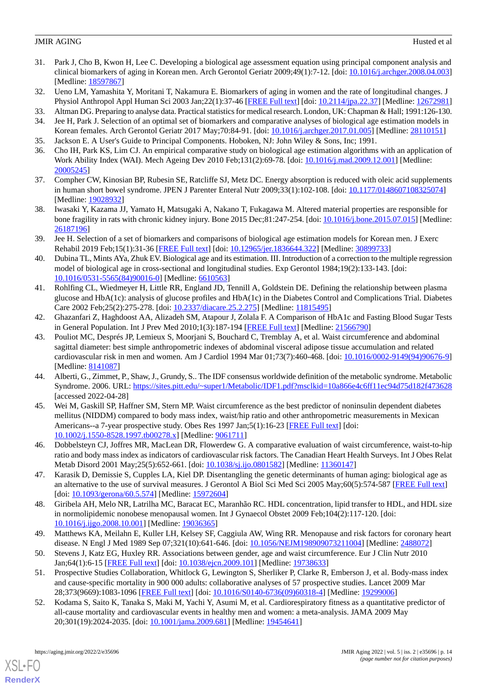- <span id="page-13-6"></span>31. Park J, Cho B, Kwon H, Lee C. Developing a biological age assessment equation using principal component analysis and clinical biomarkers of aging in Korean men. Arch Gerontol Geriatr 2009;49(1):7-12. [doi: [10.1016/j.archger.2008.04.003](http://dx.doi.org/10.1016/j.archger.2008.04.003)] [Medline: [18597867](http://www.ncbi.nlm.nih.gov/entrez/query.fcgi?cmd=Retrieve&db=PubMed&list_uids=18597867&dopt=Abstract)]
- <span id="page-13-1"></span><span id="page-13-0"></span>32. Ueno LM, Yamashita Y, Moritani T, Nakamura E. Biomarkers of aging in women and the rate of longitudinal changes. J Physiol Anthropol Appl Human Sci 2003 Jan;22(1):37-46 [[FREE Full text\]](http://joi.jlc.jst.go.jp/JST.JSTAGE/jpa/22.37?from=PubMed) [doi: [10.2114/jpa.22.37](http://dx.doi.org/10.2114/jpa.22.37)] [Medline: [12672981](http://www.ncbi.nlm.nih.gov/entrez/query.fcgi?cmd=Retrieve&db=PubMed&list_uids=12672981&dopt=Abstract)]
- <span id="page-13-2"></span>33. Altman DG. Preparing to analyse data. Practical statistics for medical research. London, UK: Chapman & Hall; 1991:126-130.
- <span id="page-13-3"></span>34. Jee H, Park J. Selection of an optimal set of biomarkers and comparative analyses of biological age estimation models in Korean females. Arch Gerontol Geriatr 2017 May;70:84-91. [doi: [10.1016/j.archger.2017.01.005](http://dx.doi.org/10.1016/j.archger.2017.01.005)] [Medline: [28110151\]](http://www.ncbi.nlm.nih.gov/entrez/query.fcgi?cmd=Retrieve&db=PubMed&list_uids=28110151&dopt=Abstract)
- <span id="page-13-4"></span>35. Jackson E. A User's Guide to Principal Components. Hoboken, NJ: John Wiley & Sons, Inc; 1991.
- <span id="page-13-5"></span>36. Cho IH, Park KS, Lim CJ. An empirical comparative study on biological age estimation algorithms with an application of Work Ability Index (WAI). Mech Ageing Dev 2010 Feb;131(2):69-78. [doi: [10.1016/j.mad.2009.12.001](http://dx.doi.org/10.1016/j.mad.2009.12.001)] [Medline: [20005245](http://www.ncbi.nlm.nih.gov/entrez/query.fcgi?cmd=Retrieve&db=PubMed&list_uids=20005245&dopt=Abstract)]
- <span id="page-13-7"></span>37. Compher CW, Kinosian BP, Rubesin SE, Ratcliffe SJ, Metz DC. Energy absorption is reduced with oleic acid supplements in human short bowel syndrome. JPEN J Parenter Enteral Nutr 2009;33(1):102-108. [doi: [10.1177/0148607108325074\]](http://dx.doi.org/10.1177/0148607108325074) [Medline: [19028932](http://www.ncbi.nlm.nih.gov/entrez/query.fcgi?cmd=Retrieve&db=PubMed&list_uids=19028932&dopt=Abstract)]
- <span id="page-13-8"></span>38. Iwasaki Y, Kazama JJ, Yamato H, Matsugaki A, Nakano T, Fukagawa M. Altered material properties are responsible for bone fragility in rats with chronic kidney injury. Bone 2015 Dec;81:247-254. [doi: [10.1016/j.bone.2015.07.015\]](http://dx.doi.org/10.1016/j.bone.2015.07.015) [Medline: [26187196](http://www.ncbi.nlm.nih.gov/entrez/query.fcgi?cmd=Retrieve&db=PubMed&list_uids=26187196&dopt=Abstract)]
- <span id="page-13-9"></span>39. Jee H. Selection of a set of biomarkers and comparisons of biological age estimation models for Korean men. J Exerc Rehabil 2019 Feb;15(1):31-36 [\[FREE Full text](https://www.e-jer.org/journal/view.php?year=2019&vol=15&page=31)] [doi: [10.12965/jer.1836644.322\]](http://dx.doi.org/10.12965/jer.1836644.322) [Medline: [30899733\]](http://www.ncbi.nlm.nih.gov/entrez/query.fcgi?cmd=Retrieve&db=PubMed&list_uids=30899733&dopt=Abstract)
- <span id="page-13-10"></span>40. Dubina TL, Mints AYa, Zhuk EV. Biological age and its estimation. III. Introduction of a correction to the multiple regression model of biological age in cross-sectional and longitudinal studies. Exp Gerontol 1984;19(2):133-143. [doi: [10.1016/0531-5565\(84\)90016-0](http://dx.doi.org/10.1016/0531-5565(84)90016-0)] [Medline: [6610563\]](http://www.ncbi.nlm.nih.gov/entrez/query.fcgi?cmd=Retrieve&db=PubMed&list_uids=6610563&dopt=Abstract)
- <span id="page-13-11"></span>41. Rohlfing CL, Wiedmeyer H, Little RR, England JD, Tennill A, Goldstein DE. Defining the relationship between plasma glucose and HbA(1c): analysis of glucose profiles and HbA(1c) in the Diabetes Control and Complications Trial. Diabetes Care 2002 Feb;25(2):275-278. [doi: [10.2337/diacare.25.2.275\]](http://dx.doi.org/10.2337/diacare.25.2.275) [Medline: [11815495\]](http://www.ncbi.nlm.nih.gov/entrez/query.fcgi?cmd=Retrieve&db=PubMed&list_uids=11815495&dopt=Abstract)
- <span id="page-13-12"></span>42. Ghazanfari Z, Haghdoost AA, Alizadeh SM, Atapour J, Zolala F. A Comparison of HbA1c and Fasting Blood Sugar Tests in General Population. Int J Prev Med 2010;1(3):187-194 [\[FREE Full text](http://europepmc.org/abstract/MED/21566790)] [Medline: [21566790](http://www.ncbi.nlm.nih.gov/entrez/query.fcgi?cmd=Retrieve&db=PubMed&list_uids=21566790&dopt=Abstract)]
- <span id="page-13-13"></span>43. Pouliot MC, Després JP, Lemieux S, Moorjani S, Bouchard C, Tremblay A, et al. Waist circumference and abdominal sagittal diameter: best simple anthropometric indexes of abdominal visceral adipose tissue accumulation and related cardiovascular risk in men and women. Am J Cardiol 1994 Mar 01;73(7):460-468. [doi: [10.1016/0002-9149\(94\)90676-9](http://dx.doi.org/10.1016/0002-9149(94)90676-9)] [Medline: [8141087\]](http://www.ncbi.nlm.nih.gov/entrez/query.fcgi?cmd=Retrieve&db=PubMed&list_uids=8141087&dopt=Abstract)
- 44. Alberti, G., Zimmet, P., Shaw, J., Grundy, S.. The IDF consensus worldwide definition of the metabolic syndrome. Metabolic Syndrome. 2006. URL: <https://sites.pitt.edu/~super1/Metabolic/IDF1.pdf?msclkid=10a866e4c6ff11ec94d75d182f473628> [accessed 2022-04-28]
- <span id="page-13-14"></span>45. Wei M, Gaskill SP, Haffner SM, Stern MP. Waist circumference as the best predictor of noninsulin dependent diabetes mellitus (NIDDM) compared to body mass index, waist/hip ratio and other anthropometric measurements in Mexican Americans--a 7-year prospective study. Obes Res 1997 Jan;5(1):16-23 [[FREE Full text\]](https://onlinelibrary.wiley.com/resolve/openurl?genre=article&sid=nlm:pubmed&issn=1071-7323&date=1997&volume=5&issue=1&spage=16) [doi: [10.1002/j.1550-8528.1997.tb00278.x\]](http://dx.doi.org/10.1002/j.1550-8528.1997.tb00278.x) [Medline: [9061711](http://www.ncbi.nlm.nih.gov/entrez/query.fcgi?cmd=Retrieve&db=PubMed&list_uids=9061711&dopt=Abstract)]
- <span id="page-13-16"></span><span id="page-13-15"></span>46. Dobbelsteyn CJ, Joffres MR, MacLean DR, Flowerdew G. A comparative evaluation of waist circumference, waist-to-hip ratio and body mass index as indicators of cardiovascular risk factors. The Canadian Heart Health Surveys. Int J Obes Relat Metab Disord 2001 May;25(5):652-661. [doi: [10.1038/sj.ijo.0801582\]](http://dx.doi.org/10.1038/sj.ijo.0801582) [Medline: [11360147](http://www.ncbi.nlm.nih.gov/entrez/query.fcgi?cmd=Retrieve&db=PubMed&list_uids=11360147&dopt=Abstract)]
- <span id="page-13-17"></span>47. Karasik D, Demissie S, Cupples LA, Kiel DP. Disentangling the genetic determinants of human aging: biological age as an alternative to the use of survival measures. J Gerontol A Biol Sci Med Sci 2005 May;60(5):574-587 [\[FREE Full text\]](http://europepmc.org/abstract/MED/15972604) [doi: [10.1093/gerona/60.5.574](http://dx.doi.org/10.1093/gerona/60.5.574)] [Medline: [15972604\]](http://www.ncbi.nlm.nih.gov/entrez/query.fcgi?cmd=Retrieve&db=PubMed&list_uids=15972604&dopt=Abstract)
- <span id="page-13-19"></span><span id="page-13-18"></span>48. Giribela AH, Melo NR, Latrilha MC, Baracat EC, Maranhão RC. HDL concentration, lipid transfer to HDL, and HDL size in normolipidemic nonobese menopausal women. Int J Gynaecol Obstet 2009 Feb;104(2):117-120. [doi: [10.1016/j.ijgo.2008.10.001](http://dx.doi.org/10.1016/j.ijgo.2008.10.001)] [Medline: [19036365\]](http://www.ncbi.nlm.nih.gov/entrez/query.fcgi?cmd=Retrieve&db=PubMed&list_uids=19036365&dopt=Abstract)
- <span id="page-13-20"></span>49. Matthews KA, Meilahn E, Kuller LH, Kelsey SF, Caggiula AW, Wing RR. Menopause and risk factors for coronary heart disease. N Engl J Med 1989 Sep 07;321(10):641-646. [doi: [10.1056/NEJM198909073211004](http://dx.doi.org/10.1056/NEJM198909073211004)] [Medline: [2488072\]](http://www.ncbi.nlm.nih.gov/entrez/query.fcgi?cmd=Retrieve&db=PubMed&list_uids=2488072&dopt=Abstract)
- 50. Stevens J, Katz EG, Huxley RR. Associations between gender, age and waist circumference. Eur J Clin Nutr 2010 Jan;64(1):6-15 [\[FREE Full text\]](http://europepmc.org/abstract/MED/19738633) [doi: [10.1038/ejcn.2009.101\]](http://dx.doi.org/10.1038/ejcn.2009.101) [Medline: [19738633\]](http://www.ncbi.nlm.nih.gov/entrez/query.fcgi?cmd=Retrieve&db=PubMed&list_uids=19738633&dopt=Abstract)
- 51. Prospective Studies Collaboration, Whitlock G, Lewington S, Sherliker P, Clarke R, Emberson J, et al. Body-mass index and cause-specific mortality in 900 000 adults: collaborative analyses of 57 prospective studies. Lancet 2009 Mar 28;373(9669):1083-1096 [[FREE Full text](https://linkinghub.elsevier.com/retrieve/pii/S0140-6736(09)60318-4)] [doi: [10.1016/S0140-6736\(09\)60318-4\]](http://dx.doi.org/10.1016/S0140-6736(09)60318-4) [Medline: [19299006](http://www.ncbi.nlm.nih.gov/entrez/query.fcgi?cmd=Retrieve&db=PubMed&list_uids=19299006&dopt=Abstract)]
- 52. Kodama S, Saito K, Tanaka S, Maki M, Yachi Y, Asumi M, et al. Cardiorespiratory fitness as a quantitative predictor of all-cause mortality and cardiovascular events in healthy men and women: a meta-analysis. JAMA 2009 May 20;301(19):2024-2035. [doi: [10.1001/jama.2009.681](http://dx.doi.org/10.1001/jama.2009.681)] [Medline: [19454641\]](http://www.ncbi.nlm.nih.gov/entrez/query.fcgi?cmd=Retrieve&db=PubMed&list_uids=19454641&dopt=Abstract)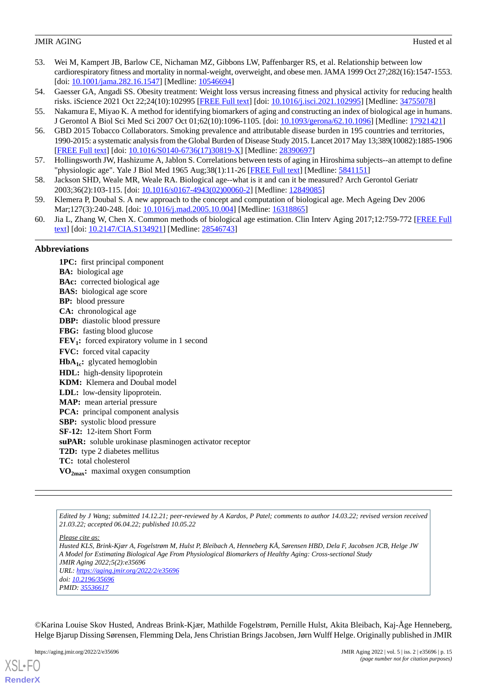- <span id="page-14-0"></span>53. Wei M, Kampert JB, Barlow CE, Nichaman MZ, Gibbons LW, Paffenbarger RS, et al. Relationship between low cardiorespiratory fitness and mortality in normal-weight, overweight, and obese men. JAMA 1999 Oct 27;282(16):1547-1553. [doi: [10.1001/jama.282.16.1547](http://dx.doi.org/10.1001/jama.282.16.1547)] [Medline: [10546694\]](http://www.ncbi.nlm.nih.gov/entrez/query.fcgi?cmd=Retrieve&db=PubMed&list_uids=10546694&dopt=Abstract)
- <span id="page-14-2"></span><span id="page-14-1"></span>54. Gaesser GA, Angadi SS. Obesity treatment: Weight loss versus increasing fitness and physical activity for reducing health risks. iScience 2021 Oct 22;24(10):102995 [\[FREE Full text\]](https://linkinghub.elsevier.com/retrieve/pii/S2589-0042(21)00963-9) [doi: [10.1016/j.isci.2021.102995](http://dx.doi.org/10.1016/j.isci.2021.102995)] [Medline: [34755078](http://www.ncbi.nlm.nih.gov/entrez/query.fcgi?cmd=Retrieve&db=PubMed&list_uids=34755078&dopt=Abstract)]
- <span id="page-14-3"></span>55. Nakamura E, Miyao K. A method for identifying biomarkers of aging and constructing an index of biological age in humans. J Gerontol A Biol Sci Med Sci 2007 Oct 01;62(10):1096-1105. [doi: [10.1093/gerona/62.10.1096\]](http://dx.doi.org/10.1093/gerona/62.10.1096) [Medline: [17921421](http://www.ncbi.nlm.nih.gov/entrez/query.fcgi?cmd=Retrieve&db=PubMed&list_uids=17921421&dopt=Abstract)]
- <span id="page-14-4"></span>56. GBD 2015 Tobacco Collaborators. Smoking prevalence and attributable disease burden in 195 countries and territories, 1990-2015: a systematic analysis from the Global Burden of Disease Study 2015. Lancet 2017 May 13;389(10082):1885-1906 [[FREE Full text](https://linkinghub.elsevier.com/retrieve/pii/S0140-6736(17)30819-X)] [doi: [10.1016/S0140-6736\(17\)30819-X\]](http://dx.doi.org/10.1016/S0140-6736(17)30819-X) [Medline: [28390697\]](http://www.ncbi.nlm.nih.gov/entrez/query.fcgi?cmd=Retrieve&db=PubMed&list_uids=28390697&dopt=Abstract)
- <span id="page-14-5"></span>57. Hollingsworth JW, Hashizume A, Jablon S. Correlations between tests of aging in Hiroshima subjects--an attempt to define "physiologic age". Yale J Biol Med 1965 Aug;38(1):11-26 [\[FREE Full text](http://europepmc.org/abstract/MED/5841151)] [Medline: [5841151](http://www.ncbi.nlm.nih.gov/entrez/query.fcgi?cmd=Retrieve&db=PubMed&list_uids=5841151&dopt=Abstract)]
- <span id="page-14-6"></span>58. Jackson SHD, Weale MR, Weale RA. Biological age--what is it and can it be measured? Arch Gerontol Geriatr 2003;36(2):103-115. [doi: [10.1016/s0167-4943\(02\)00060-2\]](http://dx.doi.org/10.1016/s0167-4943(02)00060-2) [Medline: [12849085\]](http://www.ncbi.nlm.nih.gov/entrez/query.fcgi?cmd=Retrieve&db=PubMed&list_uids=12849085&dopt=Abstract)
- <span id="page-14-7"></span>59. Klemera P, Doubal S. A new approach to the concept and computation of biological age. Mech Ageing Dev 2006 Mar;127(3):240-248. [doi: [10.1016/j.mad.2005.10.004](http://dx.doi.org/10.1016/j.mad.2005.10.004)] [Medline: [16318865](http://www.ncbi.nlm.nih.gov/entrez/query.fcgi?cmd=Retrieve&db=PubMed&list_uids=16318865&dopt=Abstract)]
- 60. Jia L, Zhang W, Chen X. Common methods of biological age estimation. Clin Interv Aging 2017;12:759-772 [[FREE Full](https://dx.doi.org/10.2147/CIA.S134921) [text](https://dx.doi.org/10.2147/CIA.S134921)] [doi: [10.2147/CIA.S134921](http://dx.doi.org/10.2147/CIA.S134921)] [Medline: [28546743\]](http://www.ncbi.nlm.nih.gov/entrez/query.fcgi?cmd=Retrieve&db=PubMed&list_uids=28546743&dopt=Abstract)

# **Abbreviations**

**1PC:** first principal component **BA:** biological age **BAc:** corrected biological age **BAS:** biological age score **BP:** blood pressure **CA:** chronological age **DBP:** diastolic blood pressure **FBG:** fasting blood glucose **FEV<sup>1</sup> :** forced expiratory volume in 1 second **FVC:** forced vital capacity **HbA1c:** glycated hemoglobin **HDL:** high-density lipoprotein **KDM:** Klemera and Doubal model **LDL:** low-density lipoprotein. **MAP:** mean arterial pressure **PCA:** principal component analysis **SBP:** systolic blood pressure **SF-12:** 12-item Short Form **suPAR:** soluble urokinase plasminogen activator receptor **T2D:** type 2 diabetes mellitus **TC:** total cholesterol **VO2max:** maximal oxygen consumption

*Edited by J Wang; submitted 14.12.21; peer-reviewed by A Kardos, P Patel; comments to author 14.03.22; revised version received 21.03.22; accepted 06.04.22; published 10.05.22*

*Please cite as:*

*Husted KLS, Brink-Kjær A, Fogelstrøm M, Hulst P, Bleibach A, Henneberg KÅ, Sørensen HBD, Dela F, Jacobsen JCB, Helge JW A Model for Estimating Biological Age From Physiological Biomarkers of Healthy Aging: Cross-sectional Study JMIR Aging 2022;5(2):e35696 URL: <https://aging.jmir.org/2022/2/e35696> doi: [10.2196/35696](http://dx.doi.org/10.2196/35696) PMID: [35536617](http://www.ncbi.nlm.nih.gov/entrez/query.fcgi?cmd=Retrieve&db=PubMed&list_uids=35536617&dopt=Abstract)*

©Karina Louise Skov Husted, Andreas Brink-Kjær, Mathilde Fogelstrøm, Pernille Hulst, Akita Bleibach, Kaj-Åge Henneberg, Helge Bjarup Dissing Sørensen, Flemming Dela, Jens Christian Brings Jacobsen, Jørn Wulff Helge. Originally published in JMIR